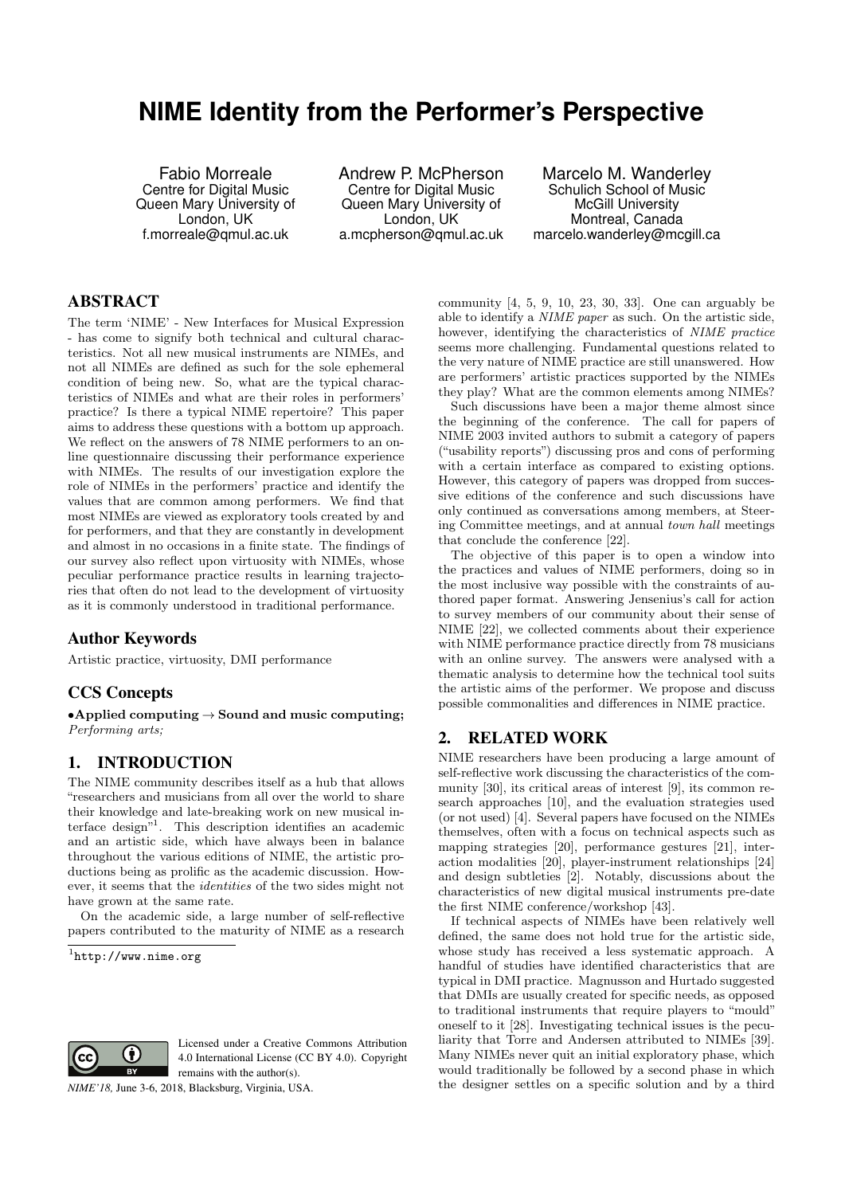# **NIME Identity from the Performer's Perspective**

Fabio Morreale Centre for Digital Music Queen Mary University of London, UK f.morreale@qmul.ac.uk

Andrew P. McPherson Centre for Digital Music Queen Mary University of London, UK a.mcpherson@qmul.ac.uk

Marcelo M. Wanderley Schulich School of Music McGill University Montreal, Canada marcelo.wanderley@mcgill.ca

# ABSTRACT

The term 'NIME' - New Interfaces for Musical Expression - has come to signify both technical and cultural characteristics. Not all new musical instruments are NIMEs, and not all NIMEs are defined as such for the sole ephemeral condition of being new. So, what are the typical characteristics of NIMEs and what are their roles in performers' practice? Is there a typical NIME repertoire? This paper aims to address these questions with a bottom up approach. We reflect on the answers of 78 NIME performers to an online questionnaire discussing their performance experience with NIMEs. The results of our investigation explore the role of NIMEs in the performers' practice and identify the values that are common among performers. We find that most NIMEs are viewed as exploratory tools created by and for performers, and that they are constantly in development and almost in no occasions in a finite state. The findings of our survey also reflect upon virtuosity with NIMEs, whose peculiar performance practice results in learning trajectories that often do not lead to the development of virtuosity as it is commonly understood in traditional performance.

## Author Keywords

Artistic practice, virtuosity, DMI performance

## CCS Concepts

•Applied computing  $\rightarrow$  Sound and music computing; Performing arts;

# 1. INTRODUCTION

The NIME community describes itself as a hub that allows "researchers and musicians from all over the world to share their knowledge and late-breaking work on new musical interface design"<sup>1</sup> . This description identifies an academic and an artistic side, which have always been in balance throughout the various editions of NIME, the artistic productions being as prolific as the academic discussion. However, it seems that the identities of the two sides might not have grown at the same rate.

On the academic side, a large number of self-reflective papers contributed to the maturity of NIME as a research

 $1$ http://www.nime.org



Licensed under a Creative Commons Attribution 4.0 International License (CC BY 4.0). Copyright remains with the author(s).

*NIME'18,* June 3-6, 2018, Blacksburg, Virginia, USA.

community [4, 5, 9, 10, 23, 30, 33]. One can arguably be able to identify a NIME paper as such. On the artistic side, however, identifying the characteristics of NIME practice seems more challenging. Fundamental questions related to the very nature of NIME practice are still unanswered. How are performers' artistic practices supported by the NIMEs they play? What are the common elements among NIMEs?

Such discussions have been a major theme almost since the beginning of the conference. The call for papers of NIME 2003 invited authors to submit a category of papers ("usability reports") discussing pros and cons of performing with a certain interface as compared to existing options. However, this category of papers was dropped from successive editions of the conference and such discussions have only continued as conversations among members, at Steering Committee meetings, and at annual town hall meetings that conclude the conference [22].

The objective of this paper is to open a window into the practices and values of NIME performers, doing so in the most inclusive way possible with the constraints of authored paper format. Answering Jensenius's call for action to survey members of our community about their sense of NIME [22], we collected comments about their experience with NIME performance practice directly from 78 musicians with an online survey. The answers were analysed with a thematic analysis to determine how the technical tool suits the artistic aims of the performer. We propose and discuss possible commonalities and differences in NIME practice.

# 2. RELATED WORK

NIME researchers have been producing a large amount of self-reflective work discussing the characteristics of the community [30], its critical areas of interest [9], its common research approaches [10], and the evaluation strategies used (or not used) [4]. Several papers have focused on the NIMEs themselves, often with a focus on technical aspects such as mapping strategies [20], performance gestures [21], interaction modalities [20], player-instrument relationships [24] and design subtleties [2]. Notably, discussions about the characteristics of new digital musical instruments pre-date the first NIME conference/workshop [43].

If technical aspects of NIMEs have been relatively well defined, the same does not hold true for the artistic side, whose study has received a less systematic approach. A handful of studies have identified characteristics that are typical in DMI practice. Magnusson and Hurtado suggested that DMIs are usually created for specific needs, as opposed to traditional instruments that require players to "mould" oneself to it [28]. Investigating technical issues is the peculiarity that Torre and Andersen attributed to NIMEs [39]. Many NIMEs never quit an initial exploratory phase, which would traditionally be followed by a second phase in which the designer settles on a specific solution and by a third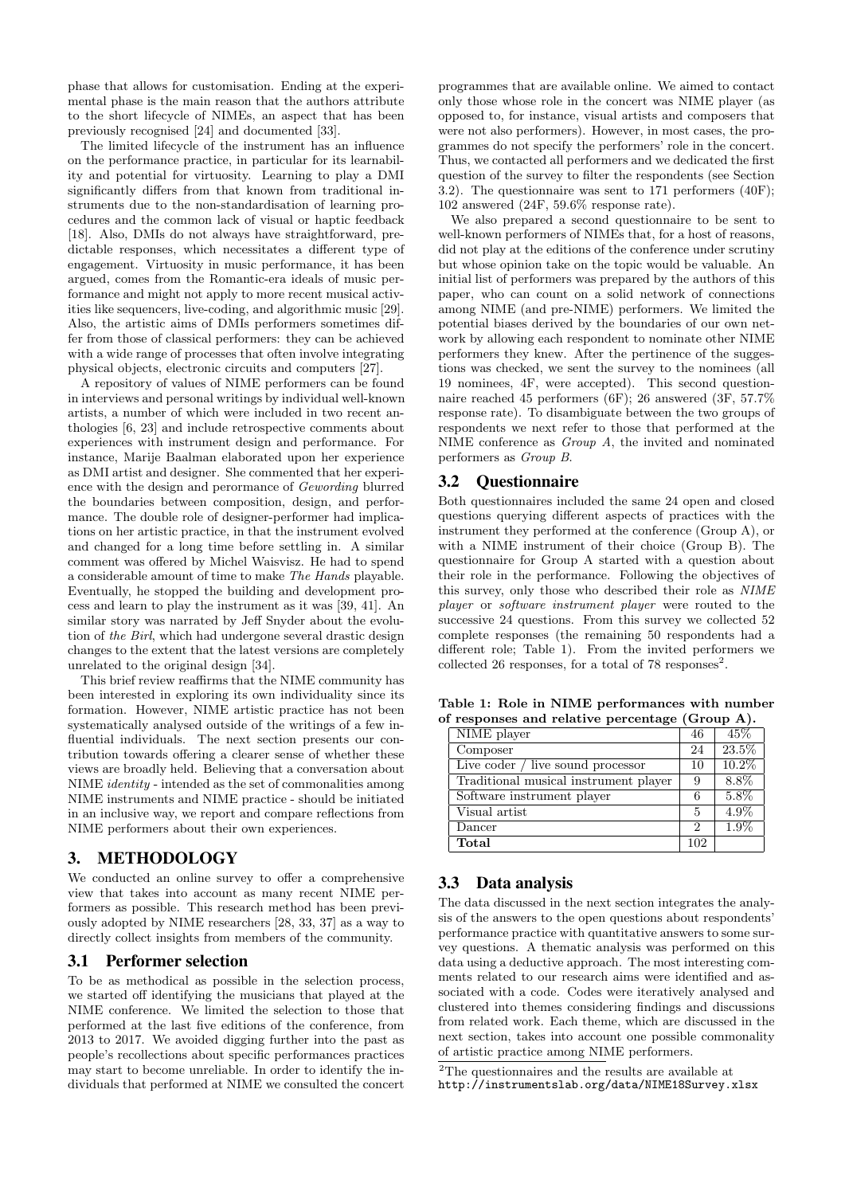phase that allows for customisation. Ending at the experimental phase is the main reason that the authors attribute to the short lifecycle of NIMEs, an aspect that has been previously recognised [24] and documented [33].

The limited lifecycle of the instrument has an influence on the performance practice, in particular for its learnability and potential for virtuosity. Learning to play a DMI significantly differs from that known from traditional instruments due to the non-standardisation of learning procedures and the common lack of visual or haptic feedback [18]. Also, DMIs do not always have straightforward, predictable responses, which necessitates a different type of engagement. Virtuosity in music performance, it has been argued, comes from the Romantic-era ideals of music performance and might not apply to more recent musical activities like sequencers, live-coding, and algorithmic music [29]. Also, the artistic aims of DMIs performers sometimes differ from those of classical performers: they can be achieved with a wide range of processes that often involve integrating physical objects, electronic circuits and computers [27].

A repository of values of NIME performers can be found in interviews and personal writings by individual well-known artists, a number of which were included in two recent anthologies [6, 23] and include retrospective comments about experiences with instrument design and performance. For instance, Marije Baalman elaborated upon her experience as DMI artist and designer. She commented that her experience with the design and perormance of Gewording blurred the boundaries between composition, design, and performance. The double role of designer-performer had implications on her artistic practice, in that the instrument evolved and changed for a long time before settling in. A similar comment was offered by Michel Waisvisz. He had to spend a considerable amount of time to make The Hands playable. Eventually, he stopped the building and development process and learn to play the instrument as it was [39, 41]. An similar story was narrated by Jeff Snyder about the evolution of the Birl, which had undergone several drastic design changes to the extent that the latest versions are completely unrelated to the original design [34].

This brief review reaffirms that the NIME community has been interested in exploring its own individuality since its formation. However, NIME artistic practice has not been systematically analysed outside of the writings of a few influential individuals. The next section presents our contribution towards offering a clearer sense of whether these views are broadly held. Believing that a conversation about NIME identity - intended as the set of commonalities among NIME instruments and NIME practice - should be initiated in an inclusive way, we report and compare reflections from NIME performers about their own experiences.

## 3. METHODOLOGY

We conducted an online survey to offer a comprehensive view that takes into account as many recent NIME performers as possible. This research method has been previously adopted by NIME researchers [28, 33, 37] as a way to directly collect insights from members of the community.

## 3.1 Performer selection

To be as methodical as possible in the selection process, we started off identifying the musicians that played at the NIME conference. We limited the selection to those that performed at the last five editions of the conference, from 2013 to 2017. We avoided digging further into the past as people's recollections about specific performances practices may start to become unreliable. In order to identify the individuals that performed at NIME we consulted the concert

programmes that are available online. We aimed to contact only those whose role in the concert was NIME player (as opposed to, for instance, visual artists and composers that were not also performers). However, in most cases, the programmes do not specify the performers' role in the concert. Thus, we contacted all performers and we dedicated the first question of the survey to filter the respondents (see Section 3.2). The questionnaire was sent to 171 performers (40F); 102 answered (24F, 59.6% response rate).

We also prepared a second questionnaire to be sent to well-known performers of NIMEs that, for a host of reasons, did not play at the editions of the conference under scrutiny but whose opinion take on the topic would be valuable. An initial list of performers was prepared by the authors of this paper, who can count on a solid network of connections among NIME (and pre-NIME) performers. We limited the potential biases derived by the boundaries of our own network by allowing each respondent to nominate other NIME performers they knew. After the pertinence of the suggestions was checked, we sent the survey to the nominees (all 19 nominees, 4F, were accepted). This second questionnaire reached 45 performers (6F); 26 answered (3F, 57.7% response rate). To disambiguate between the two groups of respondents we next refer to those that performed at the NIME conference as Group A, the invited and nominated performers as Group B.

## 3.2 Questionnaire

Both questionnaires included the same 24 open and closed questions querying different aspects of practices with the instrument they performed at the conference (Group A), or with a NIME instrument of their choice (Group B). The questionnaire for Group A started with a question about their role in the performance. Following the objectives of this survey, only those who described their role as NIME player or software instrument player were routed to the successive 24 questions. From this survey we collected 52 complete responses (the remaining 50 respondents had a different role; Table 1). From the invited performers we collected 26 responses, for a total of 78 responses<sup>2</sup>.

Table 1: Role in NIME performances with number of responses and relative percentage (Group A).

| NIME player                           | 46  | 45\%     |
|---------------------------------------|-----|----------|
| Composer                              | 24  | 23.5%    |
| Live coder / live sound processor     | 10  | $10.2\%$ |
| Traditional musical instrument player | 9   | 8.8%     |
| Software instrument player            |     | 5.8%     |
| Visual artist                         | 5   | 4.9%     |
| Dancer                                | 2   | $1.9\%$  |
| Total                                 | 102 |          |

## 3.3 Data analysis

The data discussed in the next section integrates the analysis of the answers to the open questions about respondents' performance practice with quantitative answers to some survey questions. A thematic analysis was performed on this data using a deductive approach. The most interesting comments related to our research aims were identified and associated with a code. Codes were iteratively analysed and clustered into themes considering findings and discussions from related work. Each theme, which are discussed in the next section, takes into account one possible commonality of artistic practice among NIME performers.

 $\overline{\text{{}^2}\text{{\rm The}}}$  questionnaires and the results are available at http://instrumentslab.org/data/NIME18Survey.xlsx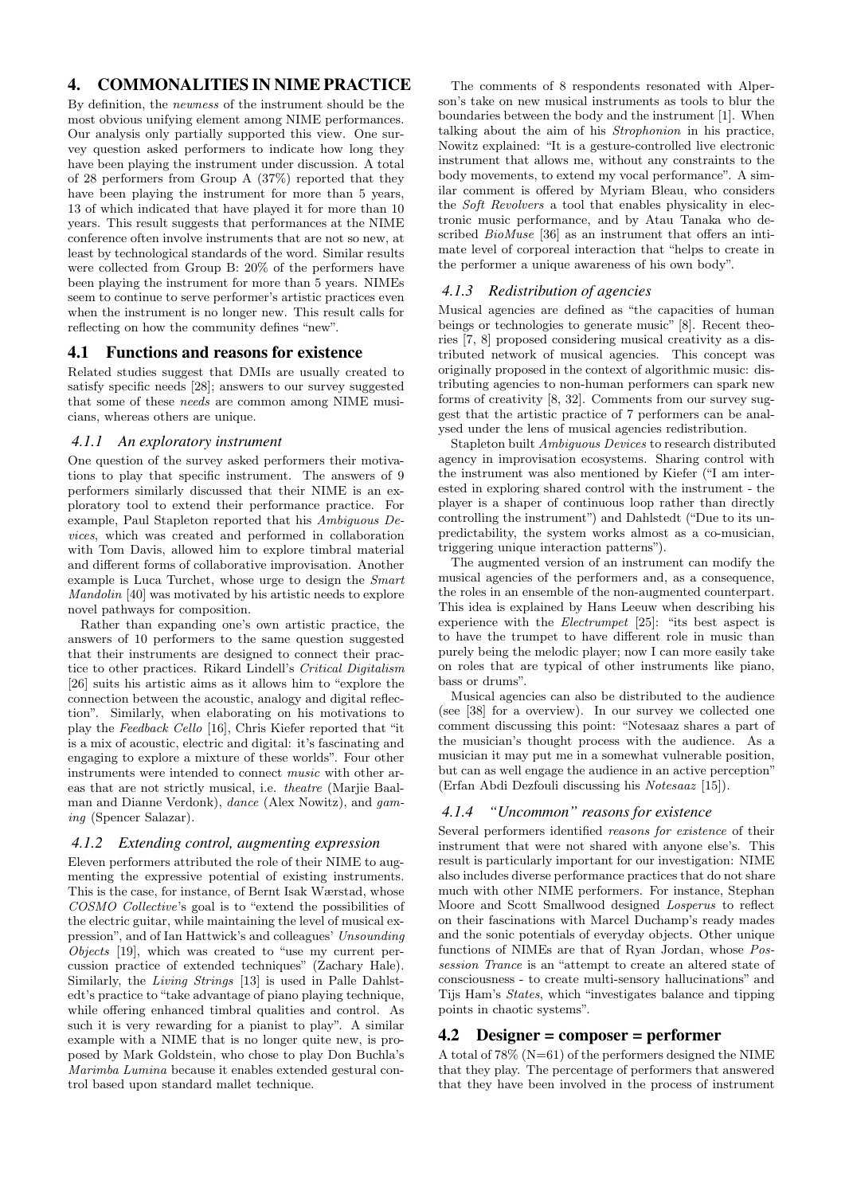# 4. COMMONALITIES IN NIME PRACTICE

By definition, the newness of the instrument should be the most obvious unifying element among NIME performances. Our analysis only partially supported this view. One survey question asked performers to indicate how long they have been playing the instrument under discussion. A total of 28 performers from Group A (37%) reported that they have been playing the instrument for more than 5 years, 13 of which indicated that have played it for more than 10 years. This result suggests that performances at the NIME conference often involve instruments that are not so new, at least by technological standards of the word. Similar results were collected from Group B: 20% of the performers have been playing the instrument for more than 5 years. NIMEs seem to continue to serve performer's artistic practices even when the instrument is no longer new. This result calls for reflecting on how the community defines "new".

# 4.1 Functions and reasons for existence

Related studies suggest that DMIs are usually created to satisfy specific needs [28]; answers to our survey suggested that some of these needs are common among NIME musicians, whereas others are unique.

## *4.1.1 An exploratory instrument*

One question of the survey asked performers their motivations to play that specific instrument. The answers of 9 performers similarly discussed that their NIME is an exploratory tool to extend their performance practice. For example, Paul Stapleton reported that his Ambiguous Devices, which was created and performed in collaboration with Tom Davis, allowed him to explore timbral material and different forms of collaborative improvisation. Another example is Luca Turchet, whose urge to design the Smart Mandolin [40] was motivated by his artistic needs to explore novel pathways for composition.

Rather than expanding one's own artistic practice, the answers of 10 performers to the same question suggested that their instruments are designed to connect their practice to other practices. Rikard Lindell's Critical Digitalism [26] suits his artistic aims as it allows him to "explore the connection between the acoustic, analogy and digital reflection". Similarly, when elaborating on his motivations to play the Feedback Cello [16], Chris Kiefer reported that "it is a mix of acoustic, electric and digital: it's fascinating and engaging to explore a mixture of these worlds". Four other instruments were intended to connect music with other areas that are not strictly musical, i.e. theatre (Marjie Baalman and Dianne Verdonk), dance (Alex Nowitz), and gaming (Spencer Salazar).

#### *4.1.2 Extending control, augmenting expression*

Eleven performers attributed the role of their NIME to augmenting the expressive potential of existing instruments. This is the case, for instance, of Bernt Isak Wærstad, whose COSMO Collective's goal is to "extend the possibilities of the electric guitar, while maintaining the level of musical expression", and of Ian Hattwick's and colleagues' Unsounding Objects [19], which was created to "use my current percussion practice of extended techniques" (Zachary Hale). Similarly, the Living Strings [13] is used in Palle Dahlstedt's practice to "take advantage of piano playing technique, while offering enhanced timbral qualities and control. As such it is very rewarding for a pianist to play". A similar example with a NIME that is no longer quite new, is proposed by Mark Goldstein, who chose to play Don Buchla's Marimba Lumina because it enables extended gestural control based upon standard mallet technique.

The comments of 8 respondents resonated with Alperson's take on new musical instruments as tools to blur the boundaries between the body and the instrument [1]. When talking about the aim of his Strophonion in his practice, Nowitz explained: "It is a gesture-controlled live electronic instrument that allows me, without any constraints to the body movements, to extend my vocal performance". A similar comment is offered by Myriam Bleau, who considers the Soft Revolvers a tool that enables physicality in electronic music performance, and by Atau Tanaka who described *BioMuse* [36] as an instrument that offers an intimate level of corporeal interaction that "helps to create in the performer a unique awareness of his own body".

## *4.1.3 Redistribution of agencies*

Musical agencies are defined as "the capacities of human beings or technologies to generate music<sup> $\hat{y}$ </sup> [8]. Recent theories [7, 8] proposed considering musical creativity as a distributed network of musical agencies. This concept was originally proposed in the context of algorithmic music: distributing agencies to non-human performers can spark new forms of creativity [8, 32]. Comments from our survey suggest that the artistic practice of 7 performers can be analysed under the lens of musical agencies redistribution.

Stapleton built Ambiguous Devices to research distributed agency in improvisation ecosystems. Sharing control with the instrument was also mentioned by Kiefer ("I am interested in exploring shared control with the instrument - the player is a shaper of continuous loop rather than directly controlling the instrument") and Dahlstedt ("Due to its unpredictability, the system works almost as a co-musician, triggering unique interaction patterns").

The augmented version of an instrument can modify the musical agencies of the performers and, as a consequence, the roles in an ensemble of the non-augmented counterpart. This idea is explained by Hans Leeuw when describing his experience with the Electrumpet [25]: "its best aspect is to have the trumpet to have different role in music than purely being the melodic player; now I can more easily take on roles that are typical of other instruments like piano, bass or drums".

Musical agencies can also be distributed to the audience (see [38] for a overview). In our survey we collected one comment discussing this point: "Notesaaz shares a part of the musician's thought process with the audience. As a musician it may put me in a somewhat vulnerable position, but can as well engage the audience in an active perception" (Erfan Abdi Dezfouli discussing his Notesaaz [15]).

## *4.1.4 "Uncommon" reasons for existence*

Several performers identified reasons for existence of their instrument that were not shared with anyone else's. This result is particularly important for our investigation: NIME also includes diverse performance practices that do not share much with other NIME performers. For instance, Stephan Moore and Scott Smallwood designed Losperus to reflect on their fascinations with Marcel Duchamp's ready mades and the sonic potentials of everyday objects. Other unique functions of NIMEs are that of Ryan Jordan, whose Possession Trance is an "attempt to create an altered state of consciousness - to create multi-sensory hallucinations" and Tijs Ham's States, which "investigates balance and tipping points in chaotic systems".

## 4.2 Designer = composer = performer

A total of 78% (N=61) of the performers designed the NIME that they play. The percentage of performers that answered that they have been involved in the process of instrument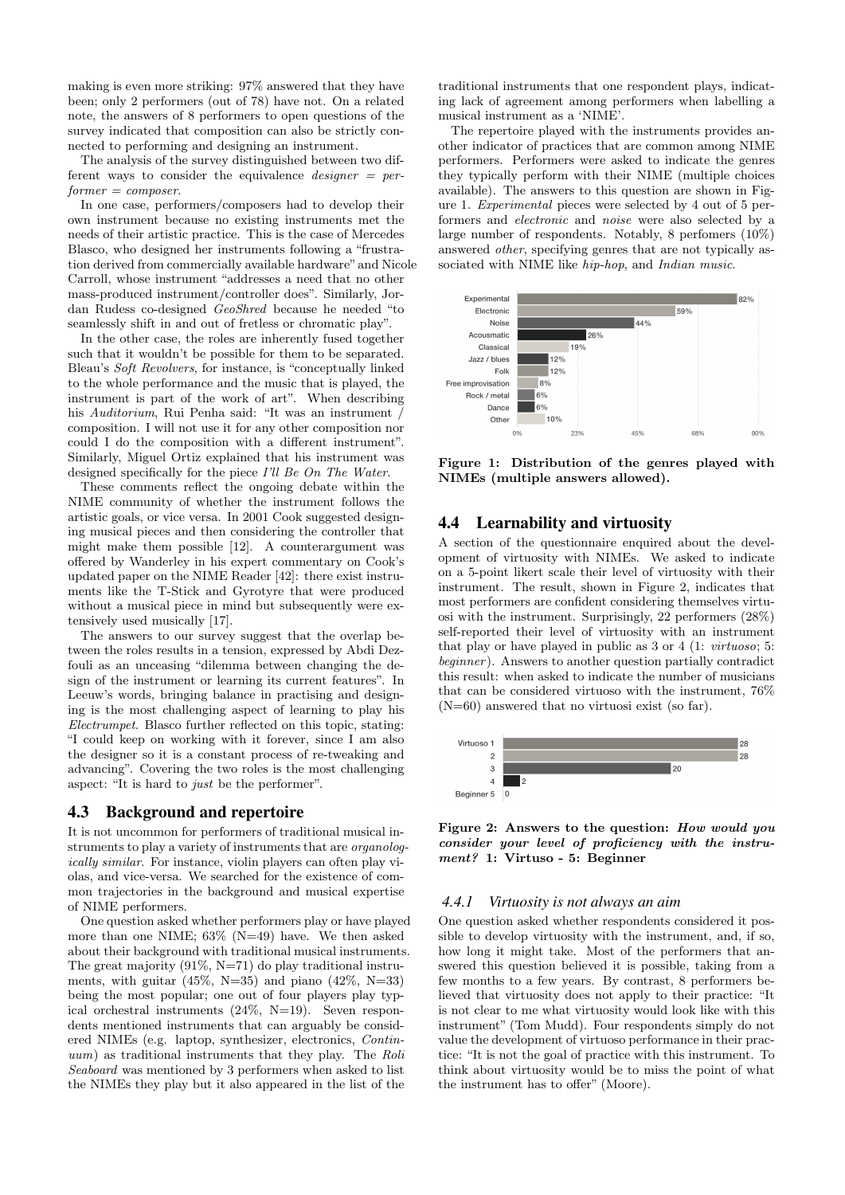making is even more striking: 97% answered that they have been; only 2 performers (out of 78) have not. On a related note, the answers of 8 performers to open questions of the survey indicated that composition can also be strictly connected to performing and designing an instrument.

The analysis of the survey distinguished between two different ways to consider the equivalence  $designer = per$  $former = composer$ .

In one case, performers/composers had to develop their own instrument because no existing instruments met the needs of their artistic practice. This is the case of Mercedes Blasco, who designed her instruments following a "frustration derived from commercially available hardware"and Nicole Carroll, whose instrument "addresses a need that no other mass-produced instrument/controller does". Similarly, Jordan Rudess co-designed GeoShred because he needed "to seamlessly shift in and out of fretless or chromatic play".

In the other case, the roles are inherently fused together such that it wouldn't be possible for them to be separated. Bleau's Soft Revolvers, for instance, is "conceptually linked to the whole performance and the music that is played, the instrument is part of the work of art". When describing his Auditorium, Rui Penha said: "It was an instrument composition. I will not use it for any other composition nor could I do the composition with a different instrument". Similarly, Miguel Ortiz explained that his instrument was designed specifically for the piece I'll Be On The Water.

These comments reflect the ongoing debate within the NIME community of whether the instrument follows the artistic goals, or vice versa. In 2001 Cook suggested designing musical pieces and then considering the controller that might make them possible [12]. A counterargument was offered by Wanderley in his expert commentary on Cook's updated paper on the NIME Reader [42]: there exist instruments like the T-Stick and Gyrotyre that were produced without a musical piece in mind but subsequently were extensively used musically [17].

The answers to our survey suggest that the overlap between the roles results in a tension, expressed by Abdi Dezfouli as an unceasing "dilemma between changing the design of the instrument or learning its current features". In Leeuw's words, bringing balance in practising and designing is the most challenging aspect of learning to play his Electrumpet. Blasco further reflected on this topic, stating: "I could keep on working with it forever, since I am also the designer so it is a constant process of re-tweaking and advancing". Covering the two roles is the most challenging aspect: "It is hard to just be the performer".

#### 4.3 Background and repertoire

It is not uncommon for performers of traditional musical instruments to play a variety of instruments that are organologically similar. For instance, violin players can often play violas, and vice-versa. We searched for the existence of common trajectories in the background and musical expertise of NIME performers.

One question asked whether performers play or have played more than one NIME; 63% (N=49) have. We then asked about their background with traditional musical instruments. The great majority (91%, N=71) do play traditional instruments, with guitar  $(45\%, N=35)$  and piano  $(42\%, N=33)$ being the most popular; one out of four players play typical orchestral instruments (24%, N=19). Seven respondents mentioned instruments that can arguably be considered NIMEs (e.g. laptop, synthesizer, electronics, Contin $uum$ ) as traditional instruments that they play. The Roli Seaboard was mentioned by 3 performers when asked to list the NIMEs they play but it also appeared in the list of the

traditional instruments that one respondent plays, indicating lack of agreement among performers when labelling a musical instrument as a 'NIME'.

The repertoire played with the instruments provides another indicator of practices that are common among NIME performers. Performers were asked to indicate the genres they typically perform with their NIME (multiple choices available). The answers to this question are shown in Figure 1. Experimental pieces were selected by 4 out of 5 performers and electronic and noise were also selected by a large number of respondents. Notably, 8 perfomers (10%) answered other, specifying genres that are not typically associated with NIME like hip-hop, and Indian music.



Figure 1: Distribution of the genres played with NIMEs (multiple answers allowed).

## 4.4 Learnability and virtuosity

A section of the questionnaire enquired about the development of virtuosity with NIMEs. We asked to indicate on a 5-point likert scale their level of virtuosity with their instrument. The result, shown in Figure 2, indicates that most performers are confident considering themselves virtuosi with the instrument. Surprisingly, 22 performers (28%) self-reported their level of virtuosity with an instrument that play or have played in public as 3 or 4 (1: virtuoso; 5: beginner). Answers to another question partially contradict this result: when asked to indicate the number of musicians that can be considered virtuoso with the instrument, 76%  $(N=60)$  answered that no virtuosi exist (so far).



Figure 2: Answers to the question: How would you consider your level of proficiency with the instrument? 1: Virtuso - 5: Beginner

#### *4.4.1 Virtuosity is not always an aim*

One question asked whether respondents considered it possible to develop virtuosity with the instrument, and, if so, how long it might take. Most of the performers that answered this question believed it is possible, taking from a few months to a few years. By contrast, 8 performers believed that virtuosity does not apply to their practice: "It is not clear to me what virtuosity would look like with this instrument" (Tom Mudd). Four respondents simply do not value the development of virtuoso performance in their practice: "It is not the goal of practice with this instrument. To think about virtuosity would be to miss the point of what the instrument has to offer" (Moore).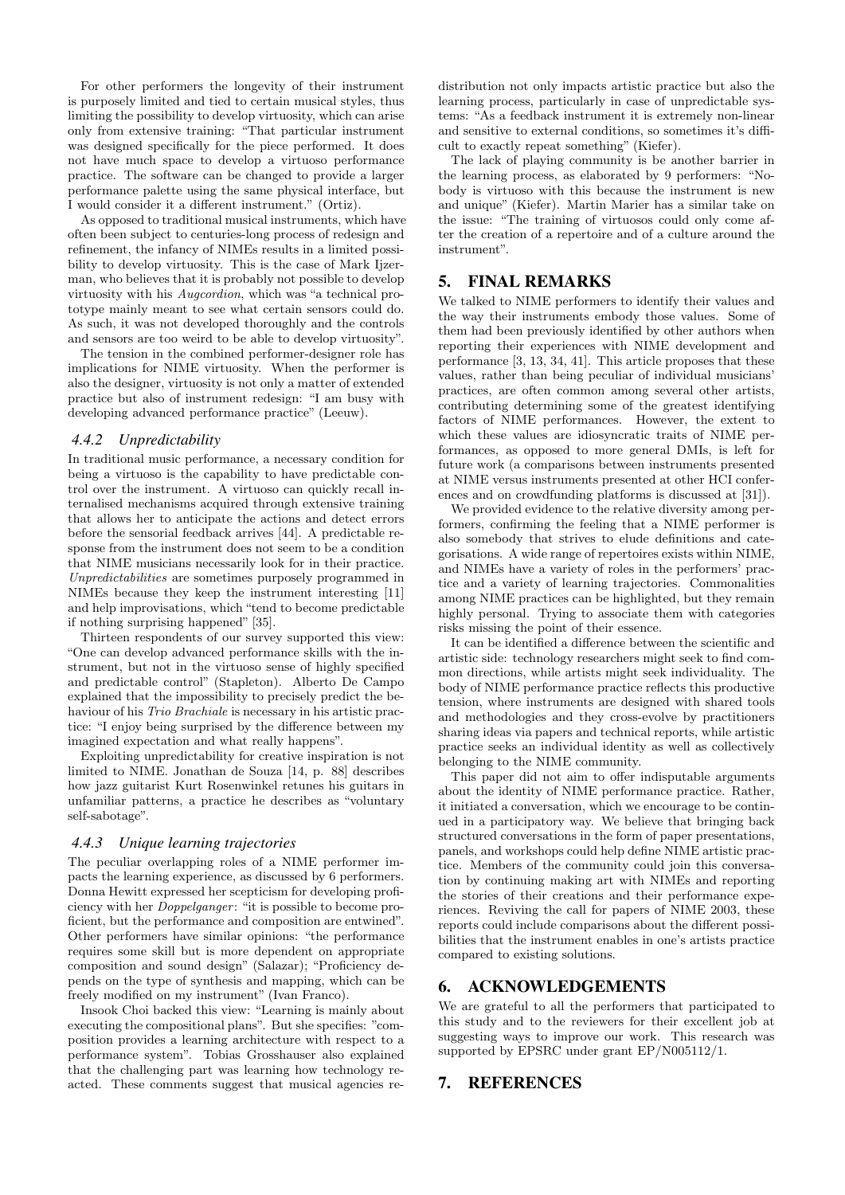For other performers the longevity of their instrument is purposely limited and tied to certain musical styles, thus limiting the possibility to develop virtuosity, which can arise only from extensive training: "That particular instrument was designed specifically for the piece performed. It does not have much space to develop a virtuoso performance practice. The software can be changed to provide a larger performance palette using the same physical interface, but I would consider it a different instrument." (Ortiz).

As opposed to traditional musical instruments, which have often been subject to centuries-long process of redesign and refinement, the infancy of NIMEs results in a limited possibility to develop virtuosity. This is the case of Mark Ijzerman, who believes that it is probably not possible to develop virtuosity with his Augcordion, which was "a technical prototype mainly meant to see what certain sensors could do. As such, it was not developed thoroughly and the controls and sensors are too weird to be able to develop virtuosity".

The tension in the combined performer-designer role has implications for NIME virtuosity. When the performer is also the designer, virtuosity is not only a matter of extended practice but also of instrument redesign: "I am busy with developing advanced performance practice" (Leeuw).

#### *4.4.2 Unpredictability*

In traditional music performance, a necessary condition for being a virtuoso is the capability to have predictable control over the instrument. A virtuoso can quickly recall internalised mechanisms acquired through extensive training that allows her to anticipate the actions and detect errors before the sensorial feedback arrives [44]. A predictable response from the instrument does not seem to be a condition that NIME musicians necessarily look for in their practice. Unpredictabilities are sometimes purposely programmed in NIMEs because they keep the instrument interesting [11] and help improvisations, which "tend to become predictable if nothing surprising happened" [35].

Thirteen respondents of our survey supported this view: "One can develop advanced performance skills with the instrument, but not in the virtuoso sense of highly specified and predictable control" (Stapleton). Alberto De Campo explained that the impossibility to precisely predict the behaviour of his Trio Brachiale is necessary in his artistic practice: "I enjoy being surprised by the difference between my imagined expectation and what really happens".

Exploiting unpredictability for creative inspiration is not limited to NIME. Jonathan de Souza [14, p. 88] describes how jazz guitarist Kurt Rosenwinkel retunes his guitars in unfamiliar patterns, a practice he describes as "voluntary self-sabotage".

#### *4.4.3 Unique learning trajectories*

The peculiar overlapping roles of a NIME performer impacts the learning experience, as discussed by 6 performers. Donna Hewitt expressed her scepticism for developing proficiency with her *Doppelganger*: "it is possible to become proficient, but the performance and composition are entwined". Other performers have similar opinions: "the performance requires some skill but is more dependent on appropriate composition and sound design" (Salazar); "Proficiency depends on the type of synthesis and mapping, which can be freely modified on my instrument" (Ivan Franco).

Insook Choi backed this view: "Learning is mainly about executing the compositional plans". But she specifies: "composition provides a learning architecture with respect to a performance system". Tobias Grosshauser also explained that the challenging part was learning how technology reacted. These comments suggest that musical agencies redistribution not only impacts artistic practice but also the learning process, particularly in case of unpredictable systems: "As a feedback instrument it is extremely non-linear and sensitive to external conditions, so sometimes it's difficult to exactly repeat something" (Kiefer).

The lack of playing community is be another barrier in the learning process, as elaborated by 9 performers: "Nobody is virtuoso with this because the instrument is new and unique" (Kiefer). Martin Marier has a similar take on the issue: "The training of virtuosos could only come after the creation of a repertoire and of a culture around the instrument".

## 5. FINAL REMARKS

We talked to NIME performers to identify their values and the way their instruments embody those values. Some of them had been previously identified by other authors when reporting their experiences with NIME development and performance [3, 13, 34, 41]. This article proposes that these values, rather than being peculiar of individual musicians' practices, are often common among several other artists, contributing determining some of the greatest identifying factors of NIME performances. However, the extent to which these values are idiosyncratic traits of NIME performances, as opposed to more general DMIs, is left for future work (a comparisons between instruments presented at NIME versus instruments presented at other HCI conferences and on crowdfunding platforms is discussed at [31]).

We provided evidence to the relative diversity among performers, confirming the feeling that a NIME performer is also somebody that strives to elude definitions and categorisations. A wide range of repertoires exists within NIME, and NIMEs have a variety of roles in the performers' practice and a variety of learning trajectories. Commonalities among NIME practices can be highlighted, but they remain highly personal. Trying to associate them with categories risks missing the point of their essence.

It can be identified a difference between the scientific and artistic side: technology researchers might seek to find common directions, while artists might seek individuality. The body of NIME performance practice reflects this productive tension, where instruments are designed with shared tools and methodologies and they cross-evolve by practitioners sharing ideas via papers and technical reports, while artistic practice seeks an individual identity as well as collectively belonging to the NIME community.

This paper did not aim to offer indisputable arguments about the identity of NIME performance practice. Rather, it initiated a conversation, which we encourage to be continued in a participatory way. We believe that bringing back structured conversations in the form of paper presentations, panels, and workshops could help define NIME artistic practice. Members of the community could join this conversation by continuing making art with NIMEs and reporting the stories of their creations and their performance experiences. Reviving the call for papers of NIME 2003, these reports could include comparisons about the different possibilities that the instrument enables in one's artists practice compared to existing solutions.

## 6. ACKNOWLEDGEMENTS

We are grateful to all the performers that participated to this study and to the reviewers for their excellent job at suggesting ways to improve our work. This research was supported by EPSRC under grant EP/N005112/1.

# 7. REFERENCES